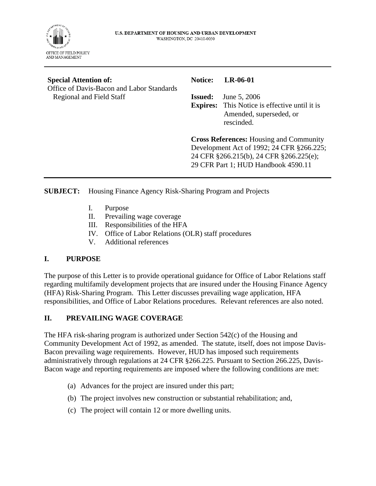

#### **Special Attention of:**

Office of Davis-Bacon and Labor Standards Regional and Field Staff

#### **Notice: LR-06-01**

**Issued:** June 5, 2006

**Expires:** This Notice is effective until it is Amended, superseded, or rescinded.

**Cross References:** Housing and Community Development Act of 1992; 24 CFR §266.225; 24 CFR §266.215(b), 24 CFR §266.225(e); 29 CFR Part 1; HUD Handbook 4590.11

#### **SUBJECT:** Housing Finance Agency Risk-Sharing Program and Projects

- I. Purpose
- II. Prevailing wage coverage
- III. Responsibilities of the HFA
- IV. Office of Labor Relations (OLR) staff procedures
- V. Additional references

# **I. PURPOSE**

The purpose of this Letter is to provide operational guidance for Office of Labor Relations staff regarding multifamily development projects that are insured under the Housing Finance Agency (HFA) Risk-Sharing Program. This Letter discusses prevailing wage application, HFA responsibilities, and Office of Labor Relations procedures. Relevant references are also noted.

# **II. PREVAILING WAGE COVERAGE**

The HFA risk-sharing program is authorized under Section 542(c) of the Housing and Community Development Act of 1992, as amended. The statute, itself, does not impose Davis-Bacon prevailing wage requirements. However, HUD has imposed such requirements administratively through regulations at 24 CFR §266.225. Pursuant to Section 266.225, Davis-Bacon wage and reporting requirements are imposed where the following conditions are met:

- (a) Advances for the project are insured under this part;
- (b) The project involves new construction or substantial rehabilitation; and,
- (c) The project will contain 12 or more dwelling units.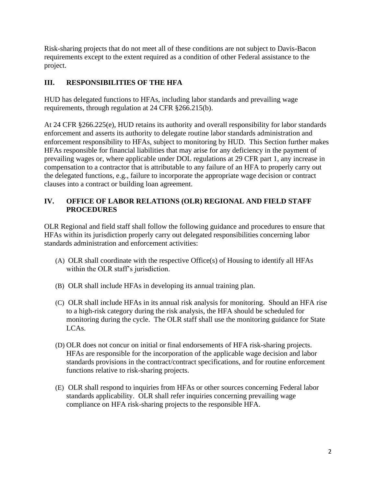Risk-sharing projects that do not meet all of these conditions are not subject to Davis-Bacon requirements except to the extent required as a condition of other Federal assistance to the project.

# **III. RESPONSIBILITIES OF THE HFA**

HUD has delegated functions to HFAs, including labor standards and prevailing wage requirements, through regulation at 24 CFR §266.215(b).

At 24 CFR §266.225(e), HUD retains its authority and overall responsibility for labor standards enforcement and asserts its authority to delegate routine labor standards administration and enforcement responsibility to HFAs, subject to monitoring by HUD. This Section further makes HFAs responsible for financial liabilities that may arise for any deficiency in the payment of prevailing wages or, where applicable under DOL regulations at 29 CFR part 1, any increase in compensation to a contractor that is attributable to any failure of an HFA to properly carry out the delegated functions, e.g., failure to incorporate the appropriate wage decision or contract clauses into a contract or building loan agreement.

# **IV. OFFICE OF LABOR RELATIONS (OLR) REGIONAL AND FIELD STAFF PROCEDURES**

OLR Regional and field staff shall follow the following guidance and procedures to ensure that HFAs within its jurisdiction properly carry out delegated responsibilities concerning labor standards administration and enforcement activities:

- (A) OLR shall coordinate with the respective Office(s) of Housing to identify all HFAs within the OLR staff's jurisdiction.
- (B) OLR shall include HFAs in developing its annual training plan.
- (C) OLR shall include HFAs in its annual risk analysis for monitoring. Should an HFA rise to a high-risk category during the risk analysis, the HFA should be scheduled for monitoring during the cycle. The OLR staff shall use the monitoring guidance for State LCAs.
- (D) OLR does not concur on initial or final endorsements of HFA risk-sharing projects. HFAs are responsible for the incorporation of the applicable wage decision and labor standards provisions in the contract/contract specifications, and for routine enforcement functions relative to risk-sharing projects.
- (E) OLR shall respond to inquiries from HFAs or other sources concerning Federal labor standards applicability. OLR shall refer inquiries concerning prevailing wage compliance on HFA risk-sharing projects to the responsible HFA.